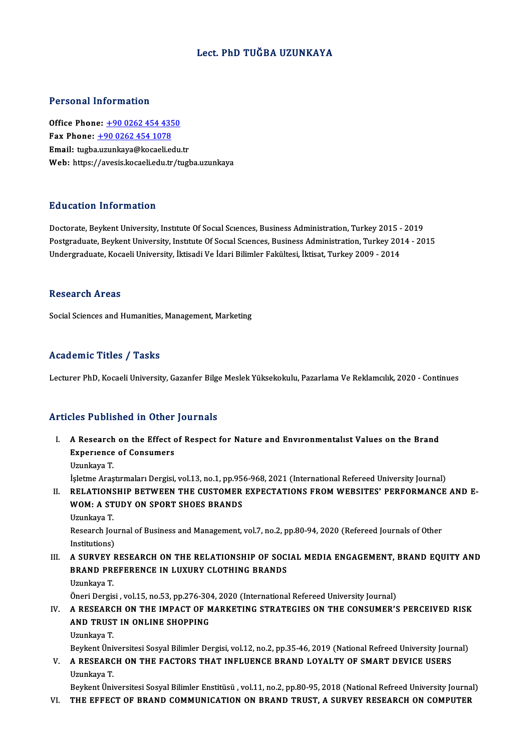## Lect. PhD TUĞBA UZUNKAYA

## Personal Information

Office Phone: +90 0262 454 4350 Fax Phone:  $+9002624541078$ Email: tugba[.uzunkaya@kocaeli.e](tel:+90 0262 454 1078)[du](tel:+90 0262 454 4350).tr Web: https://avesis.kocaeli.edu.tr/tugba.uzunkaya

## Education Information

Education Information<br>Doctorate, Beykent University, Institute Of Social Sciences, Business Administration, Turkey 2015 - 2019<br>Bestanduate, Beykent University, Institute Of Social Sciences, Business Administration, Turkey Postgraduate, Beykent University, Institute Of Social Sciences, Business Administration, Turkey 2014 - 2015<br>Undergraduate, Kocaeli University, İktisadi Ve İdari Bilimler Fakültesi, İktisat, Turkey 2009 - 2014 Doctorate, Beykent University, Institute Of Social Sciences, Business Administration, Turkey 2015 -<br>Postgraduate, Beykent University, Institute Of Social Sciences, Business Administration, Turkey 201<br>Undergraduate, Kocaeli

#### Research Areas

Social Sciences and Humanities, Management, Marketing

## Academic Titles / Tasks

Lecturer PhD, Kocaeli University, Gazanfer Bilge Meslek Yüksekokulu, Pazarlama Ve Reklamcılık, 2020 - Continues

## Articles Published in Other Journals

- I. A Research on the Effect of Respect for Nature and Envıronmentalıst Values on the Brand A Research on the Effect of<br>Experience of Consumers<br>Universes A Research<br>Experience<br>Uzunkaya T.<br>İslatma Aras Experience of Consumers<br>Uzunkaya T.<br>İşletme Araştırmaları Dergisi, vol.13, no.1, pp.956-968, 2021 (International Refereed University Journal)<br>RELATIONSHIR RETWEEN THE CUSTOMER EXPECTATIONS EROM WERSITES' REREORMANCE
	-

Uzunkaya T.<br>1914 . İşletme Araştırmaları Dergisi, vol.13, no.1, pp.956-968, 2021 (International Refereed University Journal<br>1914 . RELATIONSHIP BETWEEN THE CUSTOMER EXPECTATIONS FROM WEBSITES' PERFORMANCE AND E

- İşletme Araştırmaları Dergisi, vol.13, no.1, pp.95)<br>RELATIONSHIP BETWEEN THE CUSTOMER<br>WOM: A STUDY ON SPORT SHOES BRANDS<br>Umplove T WOM: A STUDY ON SPORT SHOES BRANDS<br>Uzunkaya T.
	-

WOM: A STUDY ON SPORT SHOES BRANDS<br>Uzunkaya T.<br>Research Journal of Business and Management, vol.7, no.2, pp.80-94, 2020 (Refereed Journals of Other<br>Institutione) Uzunkaya T.<br>Research Jou<br>Institutions)<br>A SUPVEV E Institutions)<br>III. A SURVEY RESEARCH ON THE RELATIONSHIP OF SOCIAL MEDIA ENGAGEMENT, BRAND EQUITY AND

Institutions)<br>A SURVEY RESEARCH ON THE RELATIONSHIP OF SOCI<br>BRAND PREFERENCE IN LUXURY CLOTHING BRANDS<br>Urunkaya T A SURVEY<br>BRAND PRI<br>Uzunkaya T.<br>Öneri Dergie **BRAND PREFERENCE IN LUXURY CLOTHING BRANDS<br>Uzunkaya T.<br>Öneri Dergisi , vol.15, no.53, pp.276-304, 2020 (International Refereed University Journal)<br>A BESEARCH ON THE IMBACT OF MARKETING STRATEGIES ON THE CONSUMER'S** 

## Uzunkaya T.<br>Öneri Dergisi , vol.15, no.53, pp.276-304, 2020 (International Refereed University Journal)<br>IV. A RESEARCH ON THE IMPACT OF MARKETING STRATEGIES ON THE CONSUMER'S PERCEIVED RISK<br>AND TRUST IN ONLINE SHORRING Öneri Dergisi , vol.15, no.53, pp.276-30<br>A RESEARCH ON THE IMPACT OF M<br>AND TRUST IN ONLINE SHOPPING<br>Haunkaya T <mark>A RESEARC</mark><br>AND TRUST<br>Uzunkaya T.<br>Povkont Üni AND TRUST IN ONLINE SHOPPING<br>Uzunkaya T.<br>Beykent Üniversitesi Sosyal Bilimler Dergisi, vol.12, no.2, pp.35-46, 2019 (National Refreed University Journal)<br>A RESEARCH ON THE EACTORS THAT INELUENCE RRAND LOVALTY OF SMART DEVI

Uzunkaya T.<br>Beykent Üniversitesi Sosyal Bilimler Dergisi, vol.12, no.2, pp.35-46, 2019 (National Refreed University Jour<br>V. A RESEARCH ON THE FACTORS THAT INFLUENCE BRAND LOYALTY OF SMART DEVICE USERS<br>Uzunkaya T. Beykent Üni<br>**A RESEARC**<br>Uzunkaya T.<br>Povkont Üni A RESEARCH ON THE FACTORS THAT INFLUENCE BRAND LOYALTY OF SMART DEVICE USERS<br>Uzunkaya T.<br>Beykent Üniversitesi Sosyal Bilimler Enstitüsü , vol.11, no.2, pp.80-95, 2018 (National Refreed University Journal)<br>THE EEEECT OF PRA

Uzunkaya T.<br>Beykent Üniversitesi Sosyal Bilimler Enstitüsü , vol.11, no.2, pp.80-95, 2018 (National Refreed University Journa<br>VI. THE EFFECT OF BRAND COMMUNICATION ON BRAND TRUST, A SURVEY RESEARCH ON COMPUTER